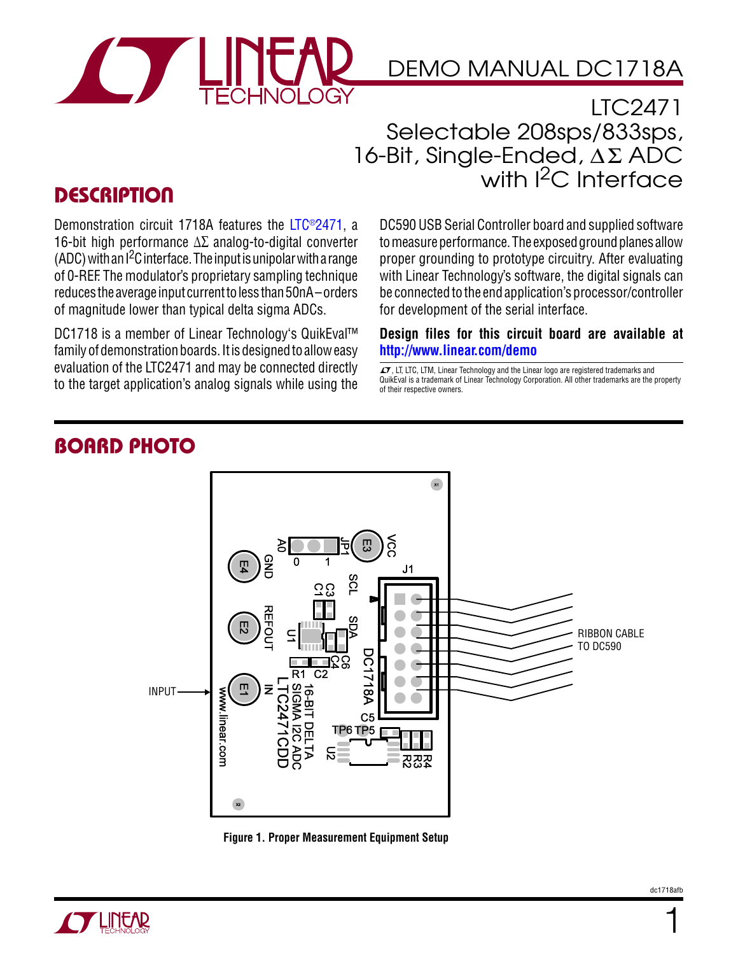

## DEMO MANUAL DC1718A

LTC2471 Selectable 208sps/833sps,  $16$ -Bit, Single-Ended,  $\Delta \Sigma$  ADC with  $l^2C$  Interface

## **DESCRIPTION**

Demonstration circuit 1718A features the [LTC®2471,](http://www.linear.com/product/LTC2471) a 16-bit high performance Δ∑ analog-to-digital converter (ADC) with an I2C interface. The input is unipolar with a range of 0-REF. The modulator's proprietary sampling technique reduces the average input current to less than 50nA – orders of magnitude lower than typical delta sigma ADCs.

DC1718 is a member of Linear Technology's QuikEval™ family of demonstration boards. It is designed to allow easy evaluation of the LTC2471 and may be connected directly to the target application's analog signals while using the

DC590 USB Serial Controller board and supplied software to measure performance. The exposed ground planes allow proper grounding to prototype circuitry. After evaluating with Linear Technology's software, the digital signals can be connected to the end application's processor/controller for development of the serial interface.

#### **Design files for this circuit board are available at <http://www.linear.com/demo>**

 $\overline{\mathcal{L}}$ , LT, LTC, LTM, Linear Technology and the Linear logo are registered trademarks and QuikEval is a trademark of Linear Technology Corporation. All other trademarks are the property of their respective owners.

### Board Photo



**Figure 1. Proper Measurement Equipment Setup**



1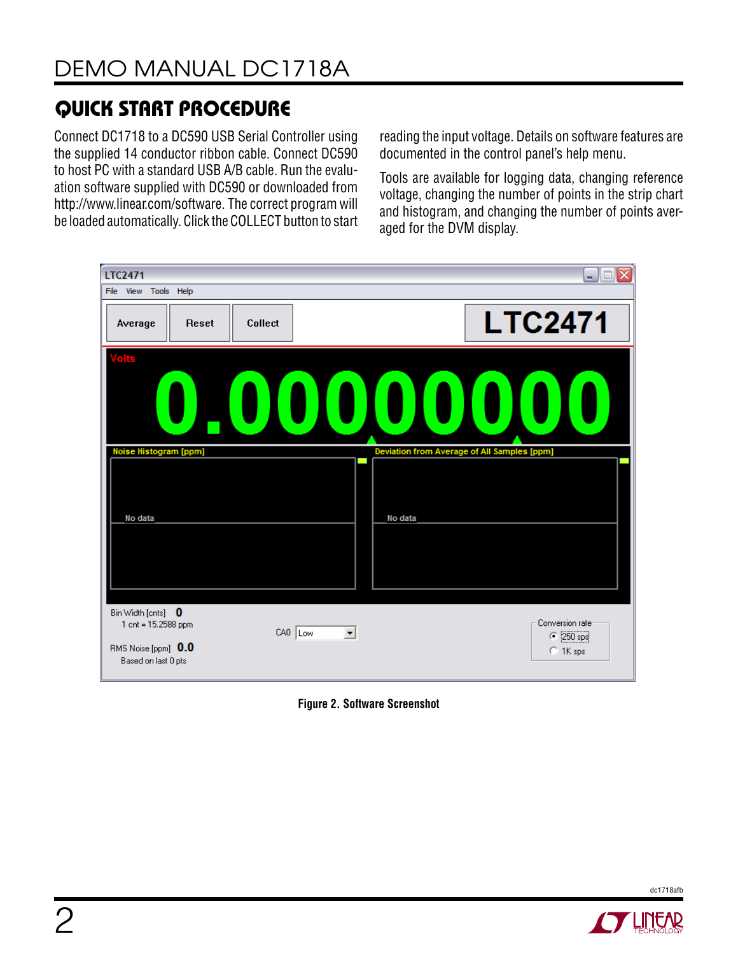## quick start procedure

Connect DC1718 to a DC590 USB Serial Controller using the supplied 14 conductor ribbon cable. Connect DC590 to host PC with a standard USB A/B cable. Run the evaluation software supplied with DC590 or downloaded from http://www.linear.com/software. The correct program will be loaded automatically. Click the COLLECT button to start

reading the input voltage. Details on software features are documented in the control panel's help menu.

Tools are available for logging data, changing reference voltage, changing the number of points in the strip chart and histogram, and changing the number of points averaged for the DVM display.



**Figure 2. Software Screenshot**



dc1718afb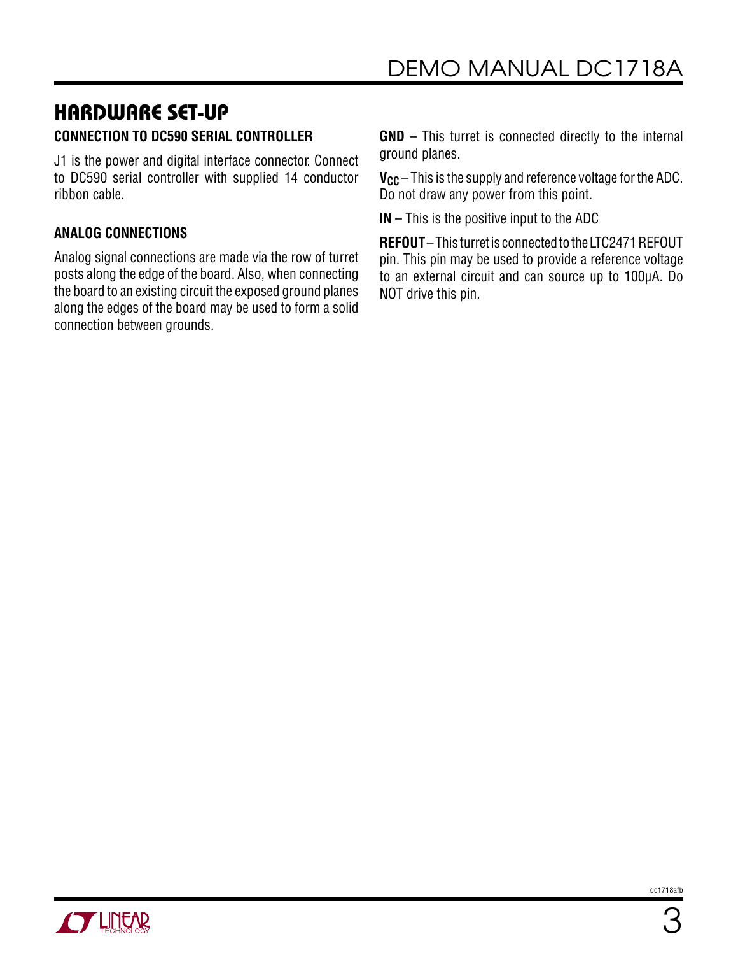# hardware set-up

### **CONNECTION TO DC590 SERIAL CONTROLLER**

J1 is the power and digital interface connector. Connect to DC590 serial controller with supplied 14 conductor ribbon cable.

### **ANALOG CONNECTIONS**

Analog signal connections are made via the row of turret posts along the edge of the board. Also, when connecting the board to an existing circuit the exposed ground planes along the edges of the board may be used to form a solid connection between grounds.

**GND** – This turret is connected directly to the internal ground planes.

**V<sub>CC</sub>** – This is the supply and reference voltage for the ADC. Do not draw any power from this point.

**IN** – This is the positive input to the ADC

**REFOUT** – This turret is connected to the LTC2471 REFOUT pin. This pin may be used to provide a reference voltage to an external circuit and can source up to 100µA. Do NOT drive this pin.

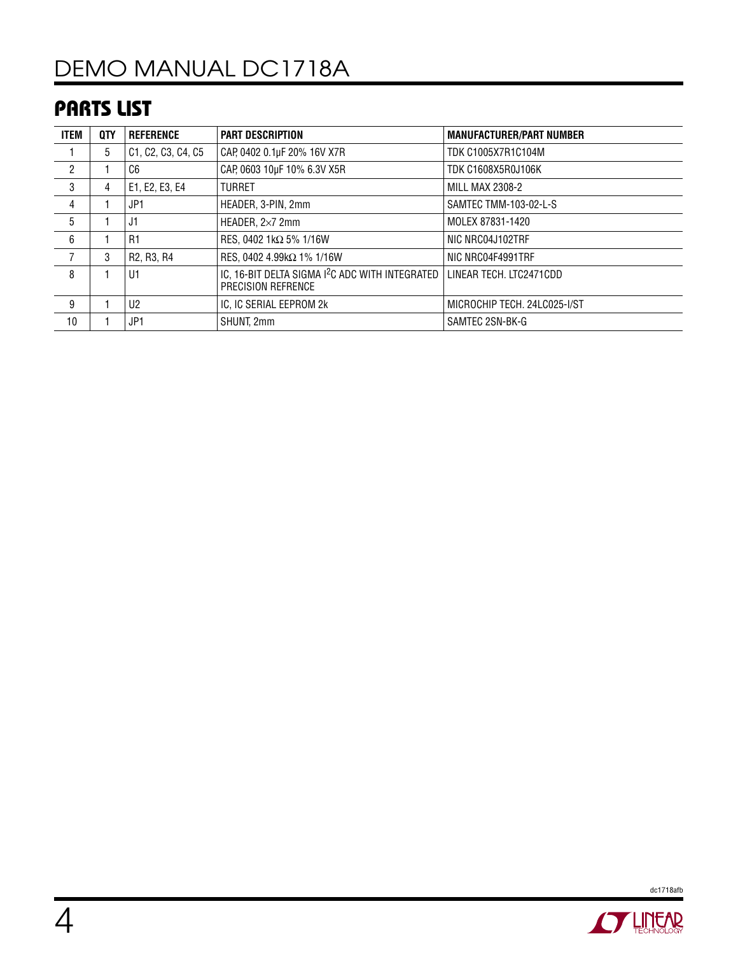## parts list

| <b>ITEM</b>    | QTY | <b>REFERENCE</b>                                 | <b>PART DESCRIPTION</b>                                                           | <b>MANUFACTURER/PART NUMBER</b> |
|----------------|-----|--------------------------------------------------|-----------------------------------------------------------------------------------|---------------------------------|
|                | 5   | C1, C2, C3, C4, C5                               | CAP, 0402 0.1µF 20% 16V X7R                                                       | <b>TDK C1005X7R1C104M</b>       |
| $\overline{c}$ |     | C <sub>6</sub>                                   | CAP, 0603 10µF 10% 6.3V X5R                                                       | <b>TDK C1608X5R0J106K</b>       |
| 3              | 4   | E1, E2, E3, E4                                   | <b>TURRET</b>                                                                     | <b>MILL MAX 2308-2</b>          |
| 4              |     | JP1                                              | HEADER, 3-PIN, 2mm                                                                | SAMTEC TMM-103-02-L-S           |
| 5              |     | J1                                               | HEADER, $2\times7$ 2mm                                                            | MOLEX 87831-1420                |
| 6              |     | R <sub>1</sub>                                   | RES, 0402 1kΩ 5% 1/16W                                                            | NIC NRC04J102TRF                |
|                | 3   | R <sub>2</sub> , R <sub>3</sub> , R <sub>4</sub> | RES, 0402 4.99kΩ 1% 1/16W                                                         | NIC NRC04F4991TRF               |
| 8              |     | U1                                               | IC, 16-BIT DELTA SIGMA I <sup>2</sup> C ADC WITH INTEGRATED<br>PRECISION REFRENCE | LINEAR TECH. LTC2471CDD         |
| 9              |     | U <sub>2</sub>                                   | IC, IC SERIAL EEPROM 2k                                                           | MICROCHIP TECH. 24LC025-I/ST    |
| 10             |     | JP1                                              | SHUNT, 2mm                                                                        | SAMTEC 2SN-BK-G                 |



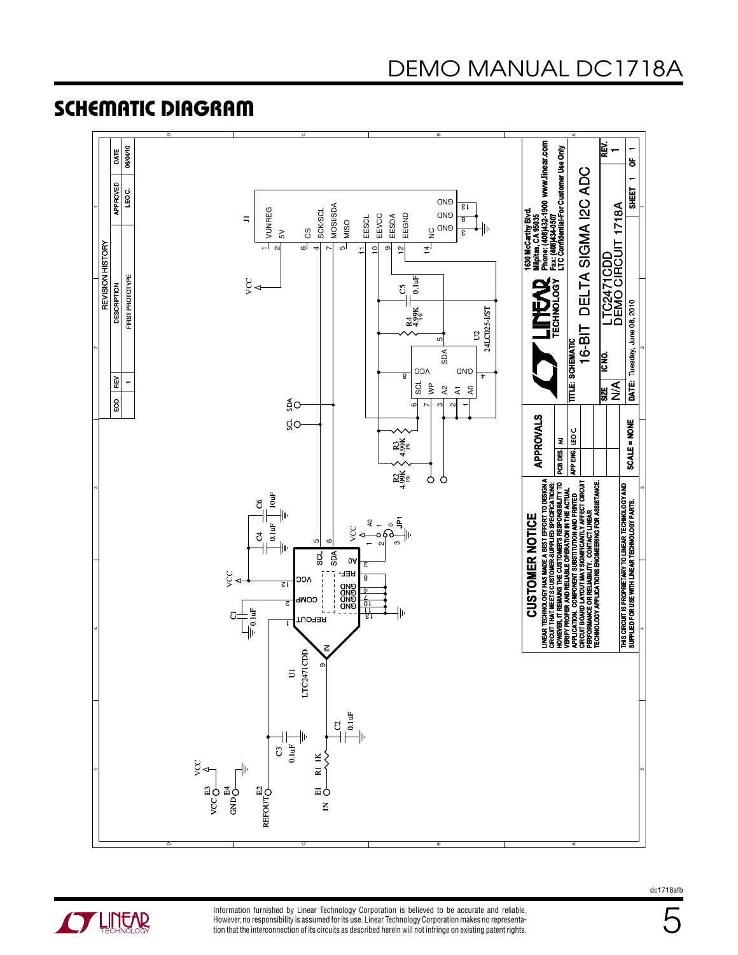# DEMO MANUAL DC1718A

### Schematic Diagram





Information furnished by Linear Technology Corporation is believed to be accurate and reliable. However, no responsibility is assumed for its use. Linear Technology Corporation makes no representation that the interconnection of its circuits as described herein will not infringe on existing patent rights. dc1718afb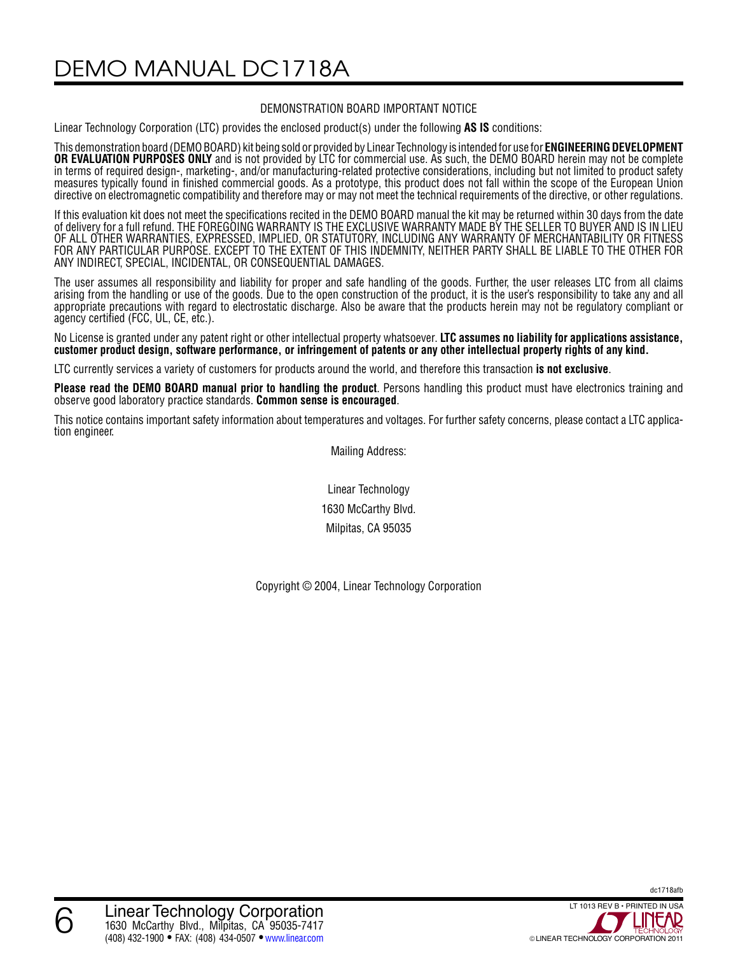DEMO MANUAL DC1718A

#### DEMONSTRATION BOARD IMPORTANT NOTICE

Linear Technology Corporation (LTC) provides the enclosed product(s) under the following **AS IS** conditions:

This demonstration board (DEMO BOARD) kit being sold or provided by Linear Technology is intended for use for **ENGINEERING DEVELOPMENT OR EVALUATION PURPOSES ONLY** and is not provided by LTC for commercial use. As such, the DEMO BOARD herein may not be complete in terms of required design-, marketing-, and/or manufacturing-related protective considerations, including but not limited to product safety measures typically found in finished commercial goods. As a prototype, this product does not fall within the scope of the European Union directive on electromagnetic compatibility and therefore may or may not meet the technical requirements of the directive, or other regulations.

If this evaluation kit does not meet the specifications recited in the DEMO BOARD manual the kit may be returned within 30 days from the date of delivery for a full refund. THE FOREGOING WARRANTY IS THE EXCLUSIVE WARRANTY MADE BY THE SELLER TO BUYER AND IS IN LIEU OF ALL OTHER WARRANTIES, EXPRESSED, IMPLIED, OR STATUTORY, INCLUDING ANY WARRANTY OF MERCHANTABILITY OR FITNESS FOR ANY PARTICULAR PURPOSE. EXCEPT TO THE EXTENT OF THIS INDEMNITY, NEITHER PARTY SHALL BE LIABLE TO THE OTHER FOR ANY INDIRECT, SPECIAL, INCIDENTAL, OR CONSEQUENTIAL DAMAGES.

The user assumes all responsibility and liability for proper and safe handling of the goods. Further, the user releases LTC from all claims arising from the handling or use of the goods. Due to the open construction of the product, it is the user's responsibility to take any and all appropriate precautions with regard to electrostatic discharge. Also be aware that the products herein may not be regulatory compliant or agency certified (FCC, UL, CE, etc.).

No License is granted under any patent right or other intellectual property whatsoever. **LTC assumes no liability for applications assistance, customer product design, software performance, or infringement of patents or any other intellectual property rights of any kind.**

LTC currently services a variety of customers for products around the world, and therefore this transaction **is not exclusive**.

**Please read the DEMO BOARD manual prior to handling the product**. Persons handling this product must have electronics training and observe good laboratory practice standards. **Common sense is encouraged**.

This notice contains important safety information about temperatures and voltages. For further safety concerns, please contact a LTC application engineer.

Mailing Address:

Linear Technology 1630 McCarthy Blvd. Milpitas, CA 95035

Copyright © 2004, Linear Technology Corporation

dc1718afb

6